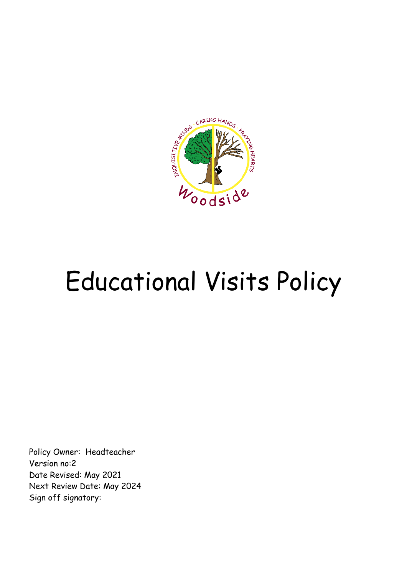

# Educational Visits Policy

Policy Owner: Headteacher Version no:2 Date Revised: May 2021 Next Review Date: May 2024 Sign off signatory: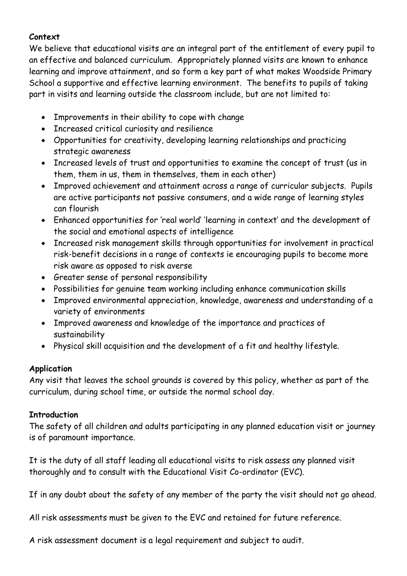#### **Context**

We believe that educational visits are an integral part of the entitlement of every pupil to an effective and balanced curriculum. Appropriately planned visits are known to enhance learning and improve attainment, and so form a key part of what makes Woodside Primary School a supportive and effective learning environment. The benefits to pupils of taking part in visits and learning outside the classroom include, but are not limited to:

- Improvements in their ability to cope with change
- Increased critical curiosity and resilience
- Opportunities for creativity, developing learning relationships and practicing strategic awareness
- Increased levels of trust and opportunities to examine the concept of trust (us in them, them in us, them in themselves, them in each other)
- Improved achievement and attainment across a range of curricular subjects. Pupils are active participants not passive consumers, and a wide range of learning styles can flourish
- Enhanced opportunities for 'real world' 'learning in context' and the development of the social and emotional aspects of intelligence
- Increased risk management skills through opportunities for involvement in practical risk-benefit decisions in a range of contexts ie encouraging pupils to become more risk aware as opposed to risk averse
- Greater sense of personal responsibility
- Possibilities for genuine team working including enhance communication skills
- Improved environmental appreciation, knowledge, awareness and understanding of a variety of environments
- Improved awareness and knowledge of the importance and practices of sustainability
- Physical skill acquisition and the development of a fit and healthy lifestyle.

### **Application**

Any visit that leaves the school grounds is covered by this policy, whether as part of the curriculum, during school time, or outside the normal school day.

### **Introduction**

The safety of all children and adults participating in any planned education visit or journey is of paramount importance.

It is the duty of all staff leading all educational visits to risk assess any planned visit thoroughly and to consult with the Educational Visit Co-ordinator (EVC).

If in any doubt about the safety of any member of the party the visit should not go ahead.

All risk assessments must be given to the EVC and retained for future reference.

A risk assessment document is a legal requirement and subject to audit.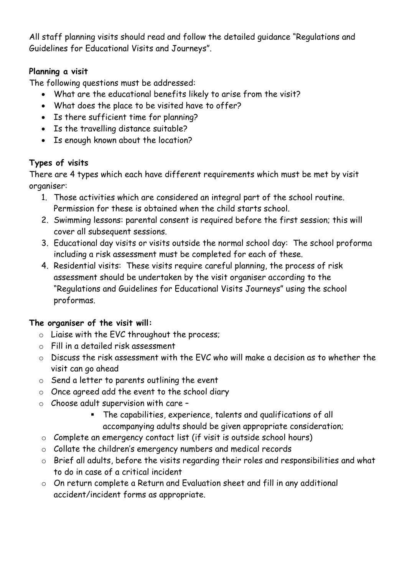All staff planning visits should read and follow the detailed guidance "Regulations and Guidelines for Educational Visits and Journeys".

## **Planning a visit**

The following questions must be addressed:

- What are the educational benefits likely to arise from the visit?
- What does the place to be visited have to offer?
- Is there sufficient time for planning?
- Is the travelling distance suitable?
- Is enough known about the location?

# **Types of visits**

There are 4 types which each have different requirements which must be met by visit organiser:

- 1. Those activities which are considered an integral part of the school routine. Permission for these is obtained when the child starts school.
- 2. Swimming lessons: parental consent is required before the first session; this will cover all subsequent sessions.
- 3. Educational day visits or visits outside the normal school day: The school proforma including a risk assessment must be completed for each of these.
- 4. Residential visits: These visits require careful planning, the process of risk assessment should be undertaken by the visit organiser according to the "Regulations and Guidelines for Educational Visits Journeys" using the school proformas.

## **The organiser of the visit will:**

- $\circ$  Liaise with the EVC throughout the process;
- o Fill in a detailed risk assessment
- $\circ$  Discuss the risk assessment with the FVC who will make a decision as to whether the visit can go ahead
- o Send a letter to parents outlining the event
- o Once agreed add the event to the school diary
- o Choose adult supervision with care
	- The capabilities, experience, talents and qualifications of all accompanying adults should be given appropriate consideration;
- o Complete an emergency contact list (if visit is outside school hours)
- o Collate the children's emergency numbers and medical records
- o Brief all adults, before the visits regarding their roles and responsibilities and what to do in case of a critical incident
- o On return complete a Return and Evaluation sheet and fill in any additional accident/incident forms as appropriate.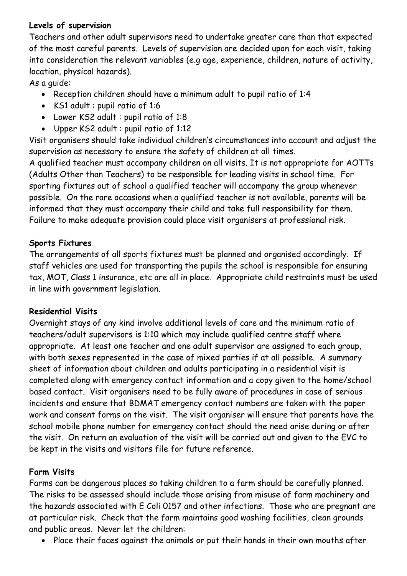### **Levels of supervision**

Teachers and other adult supervisors need to undertake greater care than that expected of the most careful parents. Levels of supervision are decided upon for each visit, taking into consideration the relevant variables (e.g age, experience, children, nature of activity, location, physical hazards).

As a guide:

- Reception children should have a minimum adult to pupil ratio of 1:4
- KS1 adult : pupil ratio of 1:6
- Lower KS2 adult : pupil ratio of 1:8
- Upper KS2 adult : pupil ratio of 1:12

Visit organisers should take individual children's circumstances into account and adjust the supervision as necessary to ensure the safety of children at all times.

A qualified teacher must accompany children on all visits. It is not appropriate for AOTTs (Adults Other than Teachers) to be responsible for leading visits in school time. For sporting fixtures out of school a qualified teacher will accompany the group whenever possible. On the rare occasions when a qualified teacher is not available, parents will be informed that they must accompany their child and take full responsibility for them. Failure to make adequate provision could place visit organisers at professional risk.

### **Sports Fixtures**

The arrangements of all sports fixtures must be planned and organised accordingly. If staff vehicles are used for transporting the pupils the school is responsible for ensuring tax, MOT, Class 1 insurance, etc are all in place. Appropriate child restraints must be used in line with government legislation.

### **Residential Visits**

Overnight stays of any kind involve additional levels of care and the minimum ratio of teachers/adult supervisors is 1:10 which may include qualified centre staff where appropriate. At least one teacher and one adult supervisor are assigned to each group, with both sexes represented in the case of mixed parties if at all possible. A summary sheet of information about children and adults participating in a residential visit is completed along with emergency contact information and a copy given to the home/school based contact. Visit organisers need to be fully aware of procedures in case of serious incidents and ensure that BDMAT emergency contact numbers are taken with the paper work and consent forms on the visit. The visit organiser will ensure that parents have the school mobile phone number for emergency contact should the need arise during or after the visit. On return an evaluation of the visit will be carried out and given to the EVC to be kept in the visits and visitors file for future reference.

### **Farm Visits**

Farms can be dangerous places so taking children to a farm should be carefully planned. The risks to be assessed should include those arising from misuse of farm machinery and the hazards associated with E Coli 0157 and other infections. Those who are pregnant are at particular risk. Check that the farm maintains good washing facilities, clean grounds and public areas. Never let the children:

• Place their faces against the animals or put their hands in their own mouths after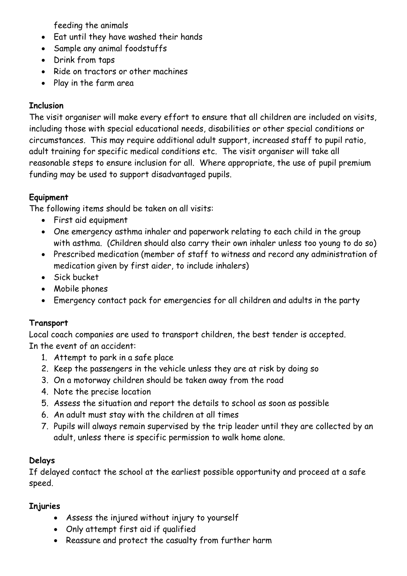feeding the animals

- Eat until they have washed their hands
- Sample any animal foodstuffs
- Drink from taps
- Ride on tractors or other machines
- Play in the farm area

## **Inclusion**

The visit organiser will make every effort to ensure that all children are included on visits, including those with special educational needs, disabilities or other special conditions or circumstances. This may require additional adult support, increased staff to pupil ratio, adult training for specific medical conditions etc. The visit organiser will take all reasonable steps to ensure inclusion for all. Where appropriate, the use of pupil premium funding may be used to support disadvantaged pupils.

## **Equipment**

The following items should be taken on all visits:

- First aid equipment
- One emergency asthma inhaler and paperwork relating to each child in the group with asthma. (Children should also carry their own inhaler unless too young to do so)
- Prescribed medication (member of staff to witness and record any administration of medication given by first aider, to include inhalers)
- Sick bucket
- Mobile phones
- Emergency contact pack for emergencies for all children and adults in the party

## **Transport**

Local coach companies are used to transport children, the best tender is accepted. In the event of an accident:

- 1. Attempt to park in a safe place
- 2. Keep the passengers in the vehicle unless they are at risk by doing so
- 3. On a motorway children should be taken away from the road
- 4. Note the precise location
- 5. Assess the situation and report the details to school as soon as possible
- 6. An adult must stay with the children at all times
- 7. Pupils will always remain supervised by the trip leader until they are collected by an adult, unless there is specific permission to walk home alone.

### **Delays**

If delayed contact the school at the earliest possible opportunity and proceed at a safe speed.

## **Injuries**

- Assess the injured without injury to yourself
- Only attempt first aid if qualified
- Reassure and protect the casualty from further harm